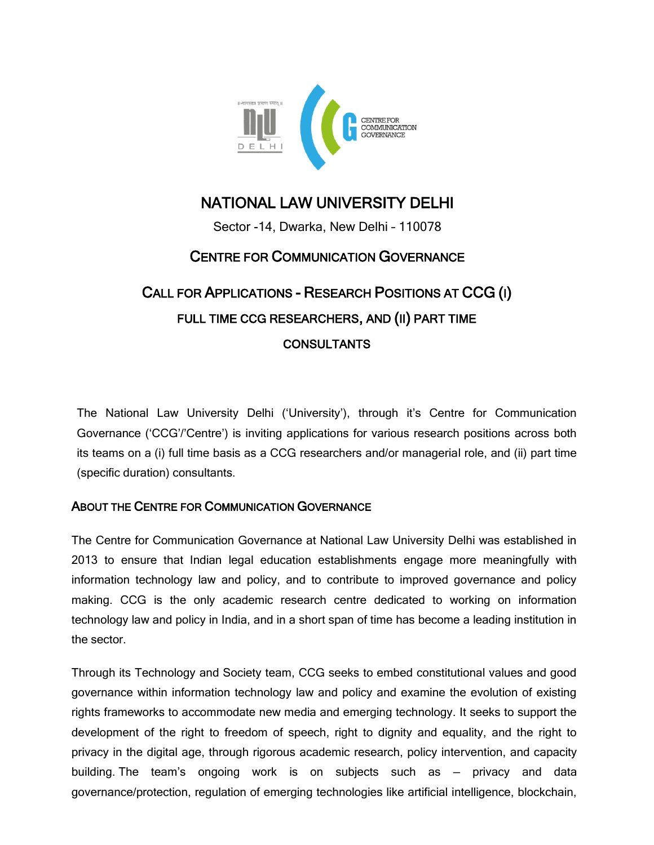

# NATIONAL LAW UNIVERSITY DELHI

Sector -14, Dwarka, New Delhi – 110078

# CENTRE FOR COMMUNICATION GOVERNANCE

# CALL FOR APPLICATIONS - RESEARCH POSITIONS AT CCG (I) FULL TIME CCG RESEARCHERS, AND (II) PART TIME CONSULTANTS

The National Law University Delhi (‗University'), through it's Centre for Communication Governance (‗CCG'/'Centre') is inviting applications for various research positions across both its teams on a (i) full time basis as a CCG researchers and/or managerial role, and (ii) part time (specific duration) consultants.

## ABOUT THE CENTRE FOR COMMUNICATION GOVERNANCE

The Centre for Communication Governance at National Law University Delhi was established in 2013 to ensure that Indian legal education establishments engage more meaningfully with information technology law and policy, and to contribute to improved governance and policy making. CCG is the only academic research centre dedicated to working on information technology law and policy in India, and in a short span of time has become a leading institution in the sector.

Through its Technology and Society team, CCG seeks to embed constitutional values and good governance within information technology law and policy and examine the evolution of existing rights frameworks to accommodate new media and emerging technology. It seeks to support the development of the right to freedom of speech, right to dignity and equality, and the right to privacy in the digital age, through rigorous academic research, policy intervention, and capacity building. The team's ongoing work is on subjects such as — privacy and data governance/protection, regulation of emerging technologies like artificial intelligence, blockchain,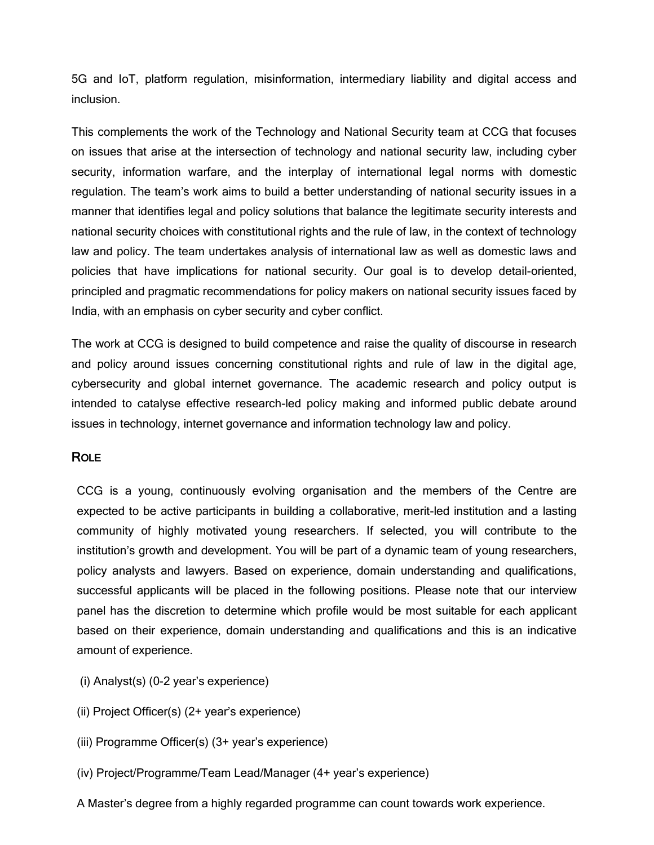5G and IoT, platform regulation, misinformation, intermediary liability and digital access and inclusion.

This complements the work of the Technology and National Security team at CCG that focuses on issues that arise at the intersection of technology and national security law, including cyber security, information warfare, and the interplay of international legal norms with domestic regulation. The team's work aims to build a better understanding of national security issues in a manner that identifies legal and policy solutions that balance the legitimate security interests and national security choices with constitutional rights and the rule of law, in the context of technology law and policy. The team undertakes analysis of international law as well as domestic laws and policies that have implications for national security. Our goal is to develop detail-oriented, principled and pragmatic recommendations for policy makers on national security issues faced by India, with an emphasis on cyber security and cyber conflict.

The work at CCG is designed to build competence and raise the quality of discourse in research and policy around issues concerning constitutional rights and rule of law in the digital age, cybersecurity and global internet governance. The academic research and policy output is intended to catalyse effective research-led policy making and informed public debate around issues in technology, internet governance and information technology law and policy.

### **ROLE**

CCG is a young, continuously evolving organisation and the members of the Centre are expected to be active participants in building a collaborative, merit-led institution and a lasting community of highly motivated young researchers. If selected, you will contribute to the institution's growth and development. You will be part of a dynamic team of young researchers, policy analysts and lawyers. Based on experience, domain understanding and qualifications, successful applicants will be placed in the following positions. Please note that our interview panel has the discretion to determine which profile would be most suitable for each applicant based on their experience, domain understanding and qualifications and this is an indicative amount of experience.

- (i) Analyst(s) (0-2 year's experience)
- (ii) Project Officer(s) (2+ year's experience)
- (iii) Programme Officer(s) (3+ year's experience)
- (iv) Project/Programme/Team Lead/Manager (4+ year's experience)
- A Master's degree from a highly regarded programme can count towards work experience.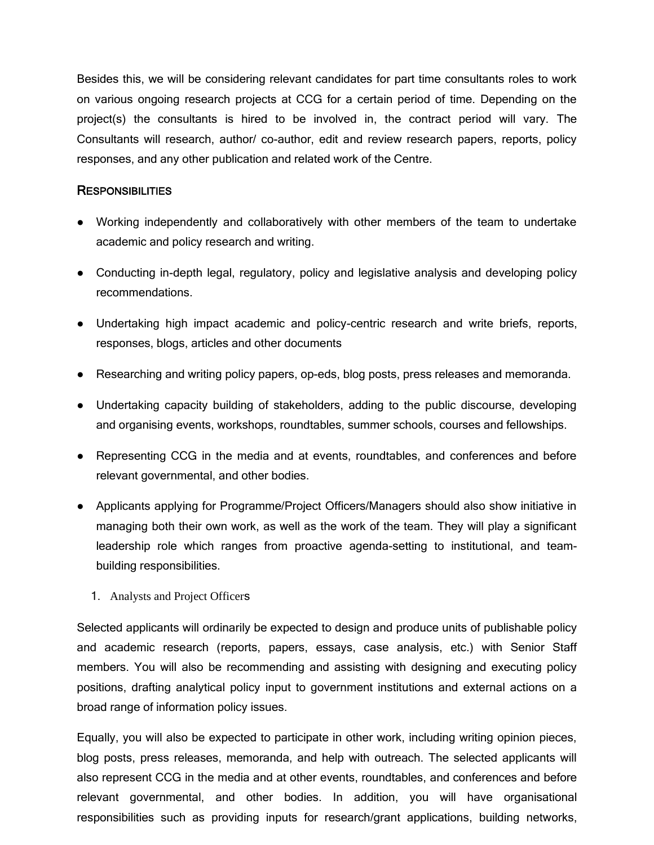Besides this, we will be considering relevant candidates for part time consultants roles to work on various ongoing research projects at CCG for a certain period of time. Depending on the project(s) the consultants is hired to be involved in, the contract period will vary. The Consultants will research, author/ co-author, edit and review research papers, reports, policy responses, and any other publication and related work of the Centre.

#### **RESPONSIBILITIES**

- Working independently and collaboratively with other members of the team to undertake academic and policy research and writing.
- Conducting in-depth legal, regulatory, policy and legislative analysis and developing policy recommendations.
- Undertaking high impact academic and policy-centric research and write briefs, reports, responses, blogs, articles and other documents
- Researching and writing policy papers, op-eds, blog posts, press releases and memoranda.
- Undertaking capacity building of stakeholders, adding to the public discourse, developing and organising events, workshops, roundtables, summer schools, courses and fellowships.
- Representing CCG in the media and at events, roundtables, and conferences and before relevant governmental, and other bodies.
- Applicants applying for Programme/Project Officers/Managers should also show initiative in managing both their own work, as well as the work of the team. They will play a significant leadership role which ranges from proactive agenda-setting to institutional, and teambuilding responsibilities.
	- 1. Analysts and Project Officers

Selected applicants will ordinarily be expected to design and produce units of publishable policy and academic research (reports, papers, essays, case analysis, etc.) with Senior Staff members. You will also be recommending and assisting with designing and executing policy positions, drafting analytical policy input to government institutions and external actions on a broad range of information policy issues.

Equally, you will also be expected to participate in other work, including writing opinion pieces, blog posts, press releases, memoranda, and help with outreach. The selected applicants will also represent CCG in the media and at other events, roundtables, and conferences and before relevant governmental, and other bodies. In addition, you will have organisational responsibilities such as providing inputs for research/grant applications, building networks,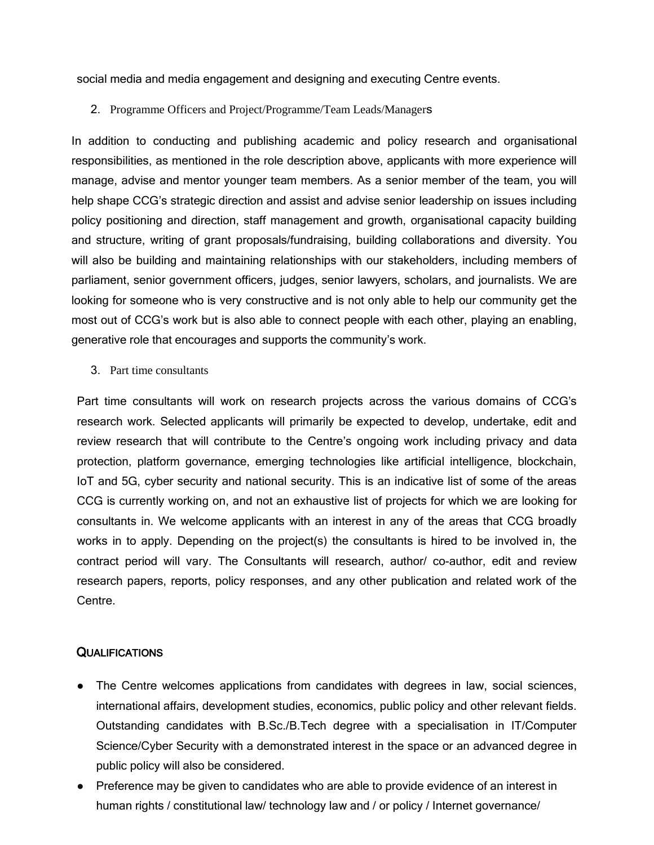social media and media engagement and designing and executing Centre events.

#### 2. Programme Officers and Project/Programme/Team Leads/Managers

In addition to conducting and publishing academic and policy research and organisational responsibilities, as mentioned in the role description above, applicants with more experience will manage, advise and mentor younger team members. As a senior member of the team, you will help shape CCG's strategic direction and assist and advise senior leadership on issues including policy positioning and direction, staff management and growth, organisational capacity building and structure, writing of grant proposals/fundraising, building collaborations and diversity. You will also be building and maintaining relationships with our stakeholders, including members of parliament, senior government officers, judges, senior lawyers, scholars, and journalists. We are looking for someone who is very constructive and is not only able to help our community get the most out of CCG's work but is also able to connect people with each other, playing an enabling, generative role that encourages and supports the community's work.

3. Part time consultants

Part time consultants will work on research projects across the various domains of CCG's research work. Selected applicants will primarily be expected to develop, undertake, edit and review research that will contribute to the Centre's ongoing work including privacy and data protection, platform governance, emerging technologies like artificial intelligence, blockchain, IoT and 5G, cyber security and national security. This is an indicative list of some of the areas CCG is currently working on, and not an exhaustive list of projects for which we are looking for consultants in. We welcome applicants with an interest in any of the areas that CCG broadly works in to apply. Depending on the project(s) the consultants is hired to be involved in, the contract period will vary. The Consultants will research, author/ co-author, edit and review research papers, reports, policy responses, and any other publication and related work of the Centre.

#### **QUALIFICATIONS**

- The Centre welcomes applications from candidates with degrees in law, social sciences, international affairs, development studies, economics, public policy and other relevant fields. Outstanding candidates with B.Sc./B.Tech degree with a specialisation in IT/Computer Science/Cyber Security with a demonstrated interest in the space or an advanced degree in public policy will also be considered.
- Preference may be given to candidates who are able to provide evidence of an interest in human rights / constitutional law/ technology law and / or policy / Internet governance/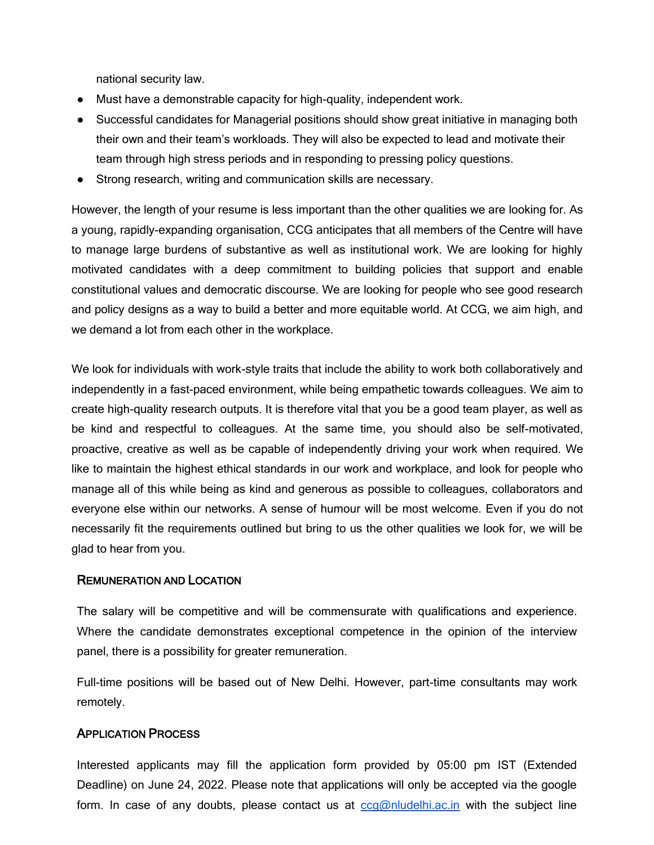national security law.

- Must have a demonstrable capacity for high-quality, independent work.
- Successful candidates for Managerial positions should show great initiative in managing both their own and their team's workloads. They will also be expected to lead and motivate their team through high stress periods and in responding to pressing policy questions.
- Strong research, writing and communication skills are necessary.

However, the length of your resume is less important than the other qualities we are looking for. As a young, rapidly-expanding organisation, CCG anticipates that all members of the Centre will have to manage large burdens of substantive as well as institutional work. We are looking for highly motivated candidates with a deep commitment to building policies that support and enable constitutional values and democratic discourse. We are looking for people who see good research and policy designs as a way to build a better and more equitable world. At CCG, we aim high, and we demand a lot from each other in the workplace.

We look for individuals with work-style traits that include the ability to work both collaboratively and independently in a fast-paced environment, while being empathetic towards colleagues. We aim to create high-quality research outputs. It is therefore vital that you be a good team player, as well as be kind and respectful to colleagues. At the same time, you should also be self-motivated, proactive, creative as well as be capable of independently driving your work when required. We like to maintain the highest ethical standards in our work and workplace, and look for people who manage all of this while being as kind and generous as possible to colleagues, collaborators and everyone else within our networks. A sense of humour will be most welcome. Even if you do not necessarily fit the requirements outlined but bring to us the other qualities we look for, we will be glad to hear from you.

#### REMUNERATION AND LOCATION

The salary will be competitive and will be commensurate with qualifications and experience. Where the candidate demonstrates exceptional competence in the opinion of the interview panel, there is a possibility for greater remuneration.

Full-time positions will be based out of New Delhi. However, part-time consultants may work remotely.

#### APPLICATION PROCESS

Interested applicants may fill the application form provided by 05:00 pm IST (Extended Deadline) on June 24, 2022. Please note that applications will only be accepted via the google form. In case of any doubts, please contact us at  $ccq@n$  ludelhi.ac. in with the subject line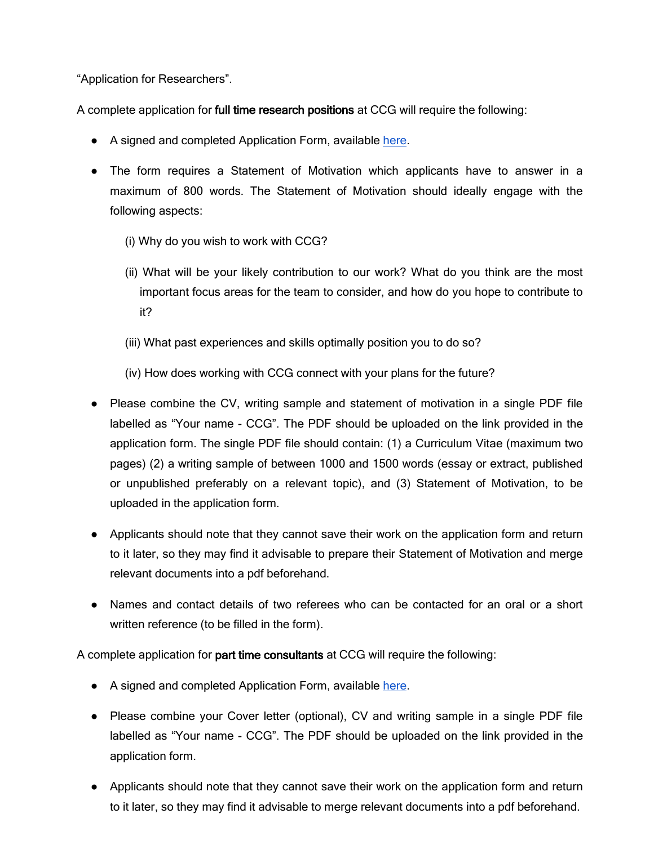"Application for Researchers".

A complete application for full time research positions at CCG will require the following:

- A signed and completed Application Form, available [here.](https://forms.gle/NVP4EMi4nof1ba5x6)
- The form requires a Statement of Motivation which applicants have to answer in a maximum of 800 words. The Statement of Motivation should ideally engage with the following aspects:
	- (i) Why do you wish to work with CCG?
	- (ii) What will be your likely contribution to our work? What do you think are the most important focus areas for the team to consider, and how do you hope to contribute to it?
	- (iii) What past experiences and skills optimally position you to do so?

(iv) How does working with CCG connect with your plans for the future?

- Please combine the CV, writing sample and statement of motivation in a single PDF file labelled as "Your name - CCG". The PDF should be uploaded on the link provided in the application form. The single PDF file should contain: (1) a Curriculum Vitae (maximum two pages) (2) a writing sample of between 1000 and 1500 words (essay or extract, published or unpublished preferably on a relevant topic), and (3) Statement of Motivation, to be uploaded in the application form.
- Applicants should note that they cannot save their work on the application form and return to it later, so they may find it advisable to prepare their Statement of Motivation and merge relevant documents into a pdf beforehand.
- Names and contact details of two referees who can be contacted for an oral or a short written reference (to be filled in the form).

A complete application for part time consultants at CCG will require the following:

- A signed and completed Application Form, available [here.](https://docs.google.com/forms/d/e/1FAIpQLSfawW9dTHW9SMe1-DcZ4K8_edtNahr0-C23QGyJRNVX6OUa-Q/viewform?usp=sf_link)
- Please combine your Cover letter (optional), CV and writing sample in a single PDF file labelled as "Your name - CCG". The PDF should be uploaded on the link provided in the application form.
- Applicants should note that they cannot save their work on the application form and return to it later, so they may find it advisable to merge relevant documents into a pdf beforehand.